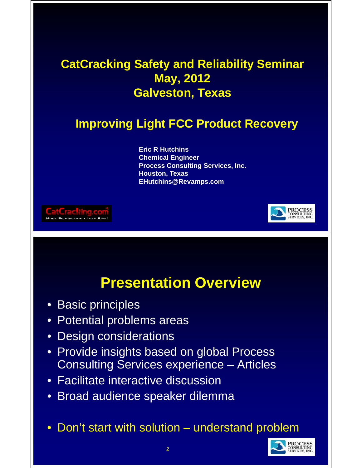#### **CatCracking Safety and Reliability Seminar May, 2012 Galveston, Texas**

#### **Improving Light FCC Product Recovery**

**Eric R Hutchins Chemical Engineer Process Consulting Services, Inc. Houston Texas Houston, Texas EHutchins@Revamps.com**





#### **Presentation Overview**

- Basic principles
- Potential problems areas
- Design considerations
- Provide insights based on global Process Consulting Services experience – Articles
- Facilitate interactive discussion
- Broad audience speaker dilemma
- Don't start with solution understand problem

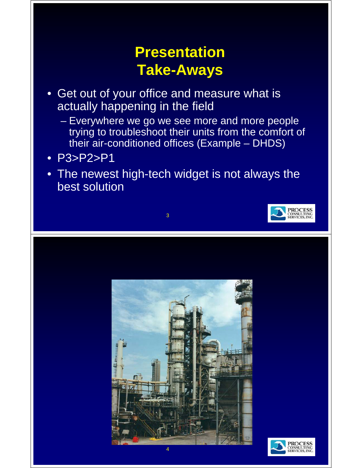## **Presentation Take-Aways**

- Get out of your office and measure what is actually happening in the field
	- Everywhere we go we see more and more people trying to troubleshoot their units from the comfort of their air-conditioned offices (Example – DHDS)
- P3>P2>P1
- The newest high-tech widget is not always the best solution

3





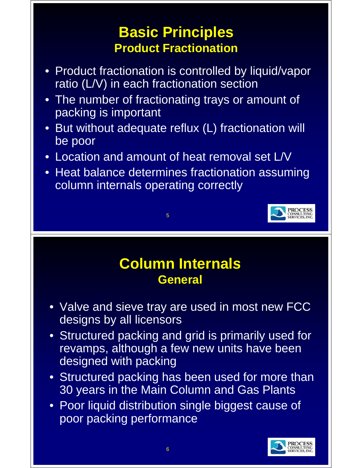#### **Basic Principles Basic Principles Product Fractionation**

- Product fractionation is controlled by liquid/vapor ratio  $(L/V)$  in each fractionation section
- The number of fractionating trays or amount of packing is important
- But without adequate reflux (L) fractionation will be poor
- Location and amount of heat removal set L/V

5

• Heat balance determines fractionation assuming column internals operating correctly



#### **Column Internals Column General**

- Valve and sieve tray are used in most new FCC designs by all licensors
- Structured packing and grid is primarily used for revamps, although a few new units have been designed with packing
- Structured packing has been used for more than 30 years in the Main Column and Gas Plants
- Poor liquid distribution single biggest cause of poor packing performance

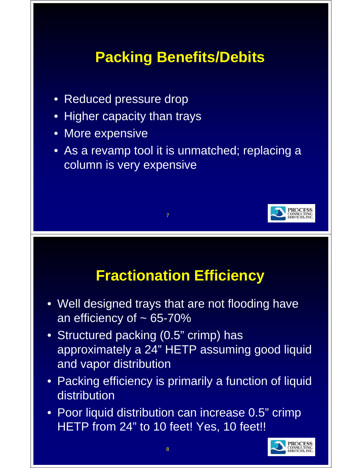# **Packing Benefits/Debits Packing**

- Reduced pressure drop
- Higher capacity than trays
- More expensive
- As a revamp tool it is unmatched; replacing a column is very expensive

7



### **Fractionation Efficiency**

- Well designed trays that are not flooding have an efficiency of  $\sim 65 - 70\%$
- Structured packing (0.5" crimp) has approximately a 24" HETP assuming good liquid and vapor distribution
- Packing efficiency is primarily a function of liquid distribution
- Poor liquid distribution can increase 0.5" crimp HETP from 24" to 10 feet! Yes, 10 feet!!

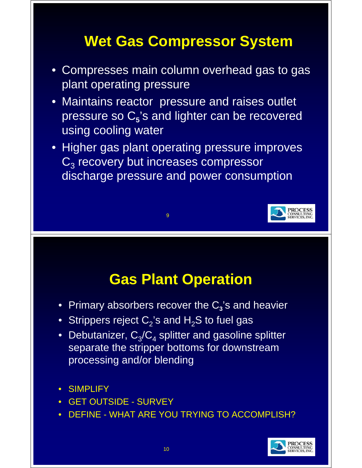# **Wet Gas Compressor System**

- Compresses main column overhead gas to gas plant operating pressure
- Maintains reactor pressure and raises outlet pressure so C<sub>5</sub>'s and lighter can be recovered using cooling water
- Higher gas plant operating pressure improves  $\overline{C_3}$  recovery but increases compressor discharge pressure and power consumption

9



#### **Gas Plant Operation**

- Primary absorbers recover the C<sub>3</sub>'s and heavier
- $\bullet~$  Strippers reject  $\mathsf{C}_2$ 's and  $\mathsf{H}_2\mathsf{S}$  to fuel gas
- Debutanizer,  $C_3/C_4$  splitter and gasoline splitter separate the stripper bottoms for downstream processing and/or blending
- SIMPLIFY
- GET OUTSIDE SURVEY
- DEFINE WHAT ARE YOU TRYING TO ACCOMPLISH?

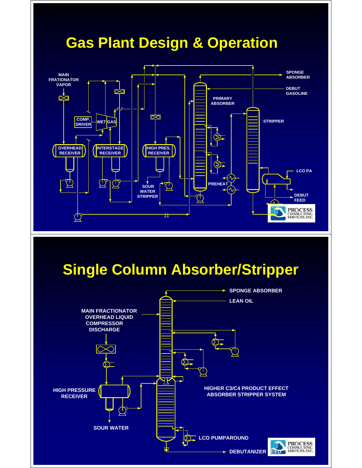

## **Single Column Absorber/Stripper**

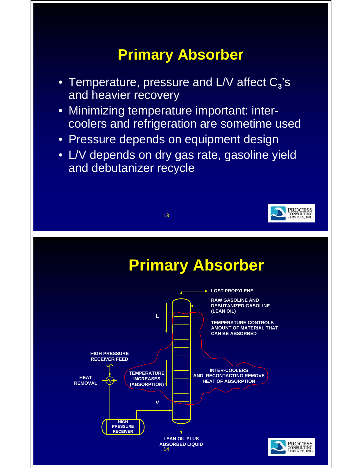## **Primary Absorber**

- Temperature, pressure and L/V affect C<sub>3</sub>'s and heavier recovery
- Minimizing temperature important: intercoolers and refrigeration are sometime used
- Pressure depends on equipment design
- L/V depends on dry gas rate, gasoline yield and debutanizer recycle

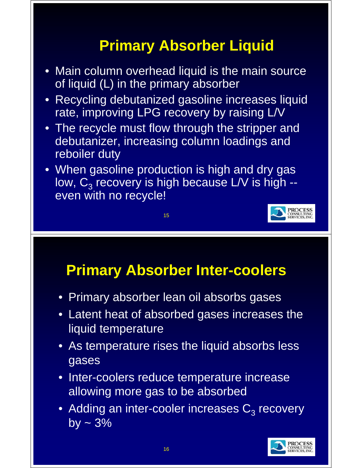# **Primary Absorber Liquid**

- Main column overhead liquid is the main source of liquid  $(L)$  in the primary absorber
- Recycling debutanized gasoline increases liquid rate, improving LPG recovery by raising L/V
- The recycle must flow through the stripper and debutanizer, increasing column loadings and reboiler duty
- When gasoline production is high and dry gas low,  $C_3$  recovery is high because L/V is high -even with no recycle!

15



### **Primary Absorber Inter-coolers**

- Primary absorber lean oil absorbs gases
- Latent heat of absorbed gases increases the liquid temperature
- As temperature rises the liquid absorbs less gases
- Inter-coolers reduce temperature increase allowing more gas to be absorbed
- Adding an inter-cooler increases  $C_3$  recovery by  $\sim$  3%

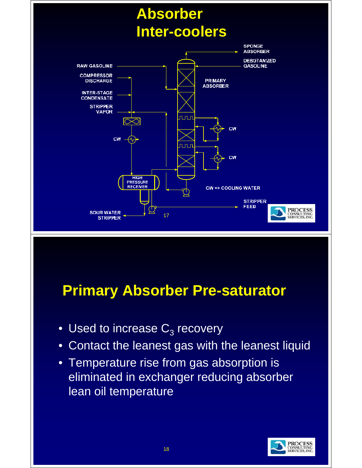

#### **Primary Absorber Pre-saturator**

- Used to increase  $C_3$  recovery
- Contact the leanest gas with the leanest liquid
- Temperature rise from gas absorption is eliminated in exchanger reducing absorber lean oil temperature

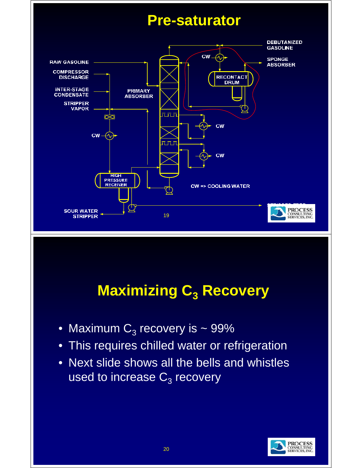

# **Maximizing C<sub>3</sub> Recovery**

- Maximum  $C_3$  recovery is ~ 99%
- This requires chilled water or refrigeration
- Next slide shows all the bells and whistles used to increase  $C_3$  recovery

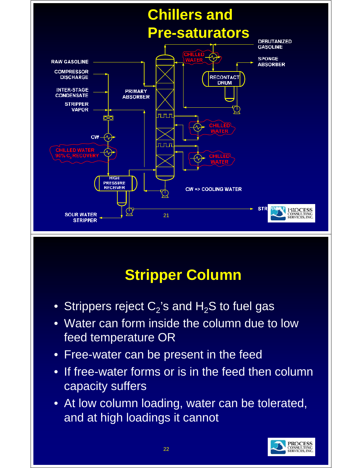

# **Stripper Column**

- Strippers reject  $C_2$ 's and  $H_2S$  to fuel gas
- $\bullet$  Water can form inside the column due to low feed temperature OR
- Free-water can be present in the feed
- If free-water forms or is in the feed then column capacity suffers
- At low column loading, water can be tolerated, and at high loadings it cannot

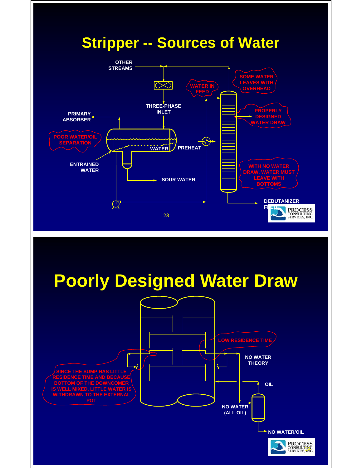

# **Poorly Designed Water Draw**

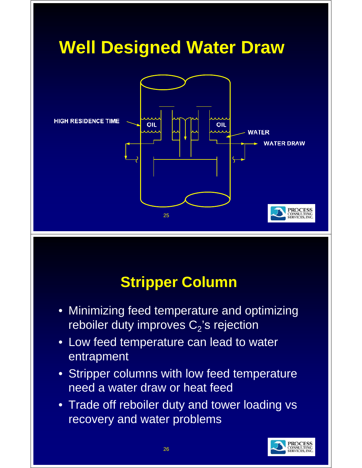

# **Stripper Column**

- Minimizing feed temperature and optimizing reboiler duty improves  $\mathsf{C}_2$ 's rejection
- Low feed temperature can lead to water entrapment
- Stripper columns with low feed temperature need a water draw or heat feed
- Trade off reboiler duty and tower loading vs recovery and water problems

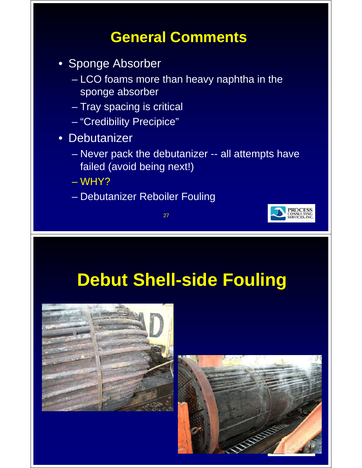#### **General Comments**

- Sponge Absorber
	- LCO foams more than heavy naphtha in the sponge absorber
	- Tray spacing is critical
	- "Credibility Precipice"
- Debutanizer
	- Never pack the debutanizer -- all attempts have failed (avoid being next!)
	- WHY?
	- Debutanizer Reboiler Fouling

27



# **Debut Shell-side Fouling**